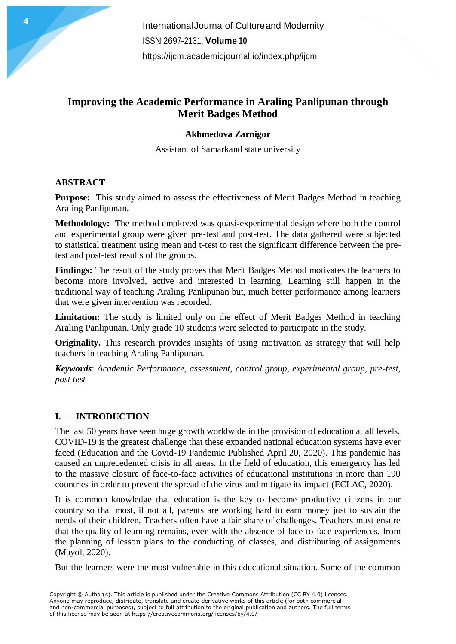# **Improving the Academic Performance in Araling Panlipunan through Merit Badges Method**

#### **Akhmedova Zarnigor**

Assistant of Samarkand state university

## **ABSTRACT**

**Purpose:** This study aimed to assess the effectiveness of Merit Badges Method in teaching Araling Panlipunan.

**Methodology:** The method employed was quasi-experimental design where both the control and experimental group were given pre-test and post-test. The data gathered were subjected to statistical treatment using mean and t-test to test the significant difference between the pretest and post-test results of the groups.

**Findings:** The result of the study proves that Merit Badges Method motivates the learners to become more involved, active and interested in learning. Learning still happen in the traditional way of teaching Araling Panlipunan but, much better performance among learners that were given intervention was recorded.

**Limitation:** The study is limited only on the effect of Merit Badges Method in teaching Araling Panlipunan. Only grade 10 students were selected to participate in the study.

**Originality.** This research provides insights of using motivation as strategy that will help teachers in teaching Araling Panlipunan.

*Keywords*: *Academic Performance, assessment, control group, experimental group, pre-test, post test*

# **I. INTRODUCTION**

The last 50 years have seen huge growth worldwide in the provision of education at all levels. COVID-19 is the greatest challenge that these expanded national education systems have ever faced (Education and the Covid-19 Pandemic Published April 20, 2020). This pandemic has caused an unprecedented crisis in all areas. In the field of education, this emergency has led to the massive closure of face-to-face activities of educational institutions in more than 190 countries in order to prevent the spread of the virus and mitigate its impact (ECLAC, 2020).

It is common knowledge that education is the key to become productive citizens in our country so that most, if not all, parents are working hard to earn money just to sustain the needs of their children. Teachers often have a fair share of challenges. Teachers must ensure that the quality of learning remains, even with the absence of face-to-face experiences, from the planning of lesson plans to the conducting of classes, and distributing of assignments (Mayol, 2020).

But the learners were the most vulnerable in this educational situation. Some of the common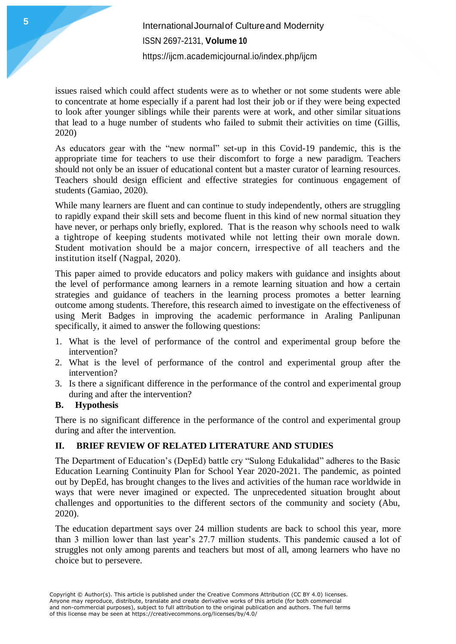issues raised which could affect students were as to whether or not some students were able to concentrate at home especially if a parent had lost their job or if they were being expected to look after younger siblings while their parents were at work, and other similar situations that lead to a huge number of students who failed to submit their activities on time (Gillis, 2020)

As educators gear with the "new normal" set-up in this Covid-19 pandemic, this is the appropriate time for teachers to use their discomfort to forge a new paradigm. Teachers should not only be an issuer of educational content but a master curator of learning resources. Teachers should design efficient and effective strategies for continuous engagement of students (Gamiao, 2020).

While many learners are fluent and can continue to study independently, others are struggling to rapidly expand their skill sets and become fluent in this kind of new normal situation they have never, or perhaps only briefly, explored. That is the reason why schools need to walk a tightrope of keeping students motivated while not letting their own morale down. Student motivation should be a major concern, irrespective of all teachers and the institution itself (Nagpal, 2020).

This paper aimed to provide educators and policy makers with guidance and insights about the level of performance among learners in a remote learning situation and how a certain strategies and guidance of teachers in the learning process promotes a better learning outcome among students. Therefore, this research aimed to investigate on the effectiveness of using Merit Badges in improving the academic performance in Araling Panlipunan specifically, it aimed to answer the following questions:

- 1. What is the level of performance of the control and experimental group before the intervention?
- 2. What is the level of performance of the control and experimental group after the intervention?
- 3. Is there a significant difference in the performance of the control and experimental group during and after the intervention?

### **B. Hypothesis**

There is no significant difference in the performance of the control and experimental group during and after the intervention.

# **II. BRIEF REVIEW OF RELATED LITERATURE AND STUDIES**

The Department of Education's (DepEd) battle cry "Sulong Edukalidad" adheres to the Basic Education Learning Continuity Plan for School Year 2020-2021. The pandemic, as pointed out by DepEd, has brought changes to the lives and activities of the human race worldwide in ways that were never imagined or expected. The unprecedented situation brought about challenges and opportunities to the different sectors of the community and society (Abu, 2020).

The education department says over 24 million students are back to school this year, more than 3 million lower than last year's 27.7 million students. This pandemic caused a lot of struggles not only among parents and teachers but most of all, among learners who have no choice but to persevere.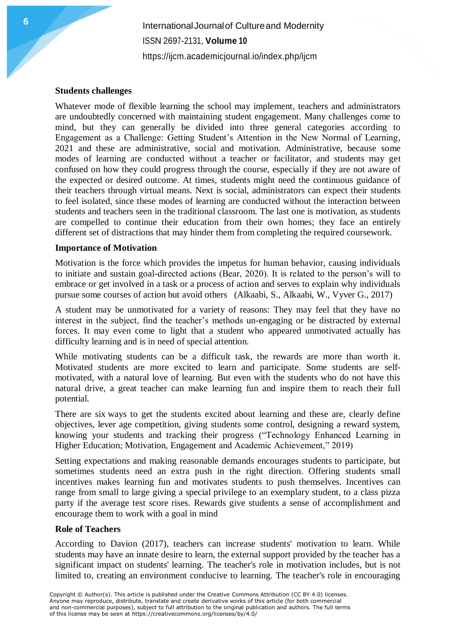InternationalJournalof Cultureand Modernity ISSN 2697-2131, **Volume 10** <https://ijcm.academicjournal.io/index.php/ijcm>

#### **Students challenges**

Whatever mode of flexible learning the school may implement, teachers and administrators are undoubtedly concerned with maintaining student engagement. Many challenges come to mind, but they can generally be divided into three general categories according to Engagement as a Challenge: Getting Student's Attention in the New Normal of Learning, 2021 and these are administrative*,* social and motivation. Administrative, because some modes of learning are conducted without a teacher or facilitator, and students may get confused on how they could progress through the course, especially if they are not aware of the expected or desired outcome. At times, students might need the continuous guidance of their teachers through virtual means. Next is social, administrators can expect their students to feel isolated, since these modes of learning are conducted without the interaction between students and teachers seen in the traditional classroom. The last one is motivation, as students are compelled to continue their education from their own homes; they face an entirely different set of distractions that may hinder them from completing the required coursework.

#### **Importance of Motivation**

Motivation is the force which provides the impetus for human behavior, causing individuals to initiate and sustain goal-directed actions (Bear, 2020). It is related to the person's will to embrace or get involved in a task or a process of action and serves to explain why individuals pursue some courses of action but avoid others (Alkaabi, S., Alkaabi, W., Vyver G., 2017)

A student may be unmotivated for a variety of reasons: They may feel that they have no interest in the subject, find the teacher's methods un-engaging or be distracted by external forces. It may even come to light that a student who appeared unmotivated actually has difficulty learning and is in need of special attention.

While motivating students can be a difficult task, the rewards are more than worth it. Motivated students are more excited to learn and participate. Some students are selfmotivated, with a natural love of learning. But even with the students who do not have this natural drive, a great teacher can make learning fun and inspire them to reach their full potential.

There are six ways to get the students excited about learning and these are, clearly define objectives, lever age competition, giving students some control, designing a reward system, knowing your students and tracking their progress ("Technology Enhanced Learning in Higher Education; Motivation, Engagement and Academic Achievement," 2019)

Setting expectations and making reasonable demands encourages students to participate, but sometimes students need an extra push in the right direction. Offering students small incentives makes learning fun and motivates students to push themselves. Incentives can range from small to large giving a special privilege to an exemplary student, to a class pizza party if the average test score rises. Rewards give students a sense of accomplishment and encourage them to work with a goal in mind

#### **Role of Teachers**

According to Davion (2017), teachers can increase students' motivation to learn. While students may have an innate desire to learn, the external support provided by the teacher has a significant impact on students' learning. The teacher's role in motivation includes, but is not limited to, creating an environment conducive to learning. The teacher's role in encouraging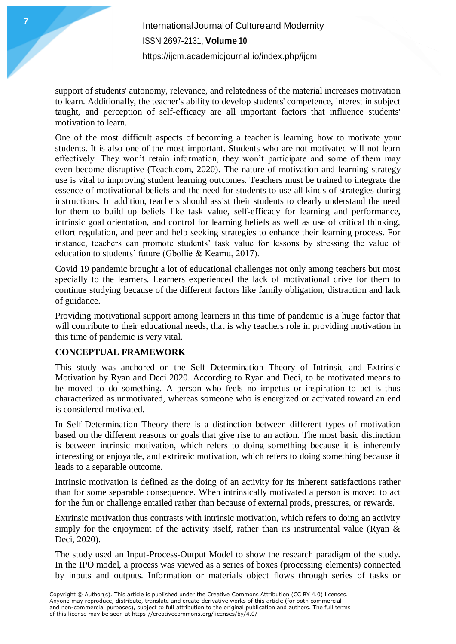support of students' autonomy, relevance, and relatedness of the material increases motivation to learn. Additionally, the teacher's ability to develop students' competence, interest in subject taught, and perception of self-efficacy are all important factors that influence students' motivation to learn.

One of the most difficult aspects of [becoming a teacher](https://teach.com/where) is learning how to motivate your students. It is also one of the most important. Students who are not motivated will not learn effectively. They won't retain information, they won't participate and some of them may even become disruptive (Teach.com, 2020). The nature of motivation and learning strategy use is vital to improving student learning outcomes. Teachers must be trained to integrate the essence of motivational beliefs and the need for students to use all kinds of strategies during instructions. In addition, teachers should assist their students to clearly understand the need for them to build up beliefs like task value, self-efficacy for learning and performance, intrinsic goal orientation, and control for learning beliefs as well as use of critical thinking, effort regulation, and peer and help seeking strategies to enhance their learning process. For instance, teachers can promote students' task value for lessons by stressing the value of education to students' future (Gbollie & Keamu, 2017).

Covid 19 pandemic brought a lot of educational challenges not only among teachers but most specially to the learners. Learners experienced the lack of motivational drive for them to continue studying because of the different factors like family obligation, distraction and lack of guidance.

Providing motivational support among learners in this time of pandemic is a huge factor that will contribute to their educational needs, that is why teachers role in providing motivation in this time of pandemic is very vital.

### **CONCEPTUAL FRAMEWORK**

This study was anchored on the Self Determination Theory of Intrinsic and Extrinsic Motivation by Ryan and Deci 2020. According to Ryan and Deci, to be motivated means to be moved to do something. A person who feels no impetus or inspiration to act is thus characterized as unmotivated, whereas someone who is energized or activated toward an end is considered motivated.

In Self-Determination Theory there is a distinction between different types of motivation based on the different reasons or goals that give rise to an action. The most basic distinction is between intrinsic motivation, which refers to doing something because it is inherently interesting or enjoyable, and extrinsic motivation, which refers to doing something because it leads to a separable outcome.

Intrinsic motivation is defined as the doing of an activity for its inherent satisfactions rather than for some separable consequence. When intrinsically motivated a person is moved to act for the fun or challenge entailed rather than because of external prods, pressures, or rewards.

Extrinsic motivation thus contrasts with intrinsic motivation, which refers to doing an activity simply for the enjoyment of the activity itself, rather than its instrumental value (Ryan  $\&$ Deci, 2020).

The study used an Input-Process-Output Model to show the research paradigm of the study. In the IPO model, a process was viewed as a series of boxes (processing elements) connected by inputs and outputs. Information or materials object flows through series of tasks or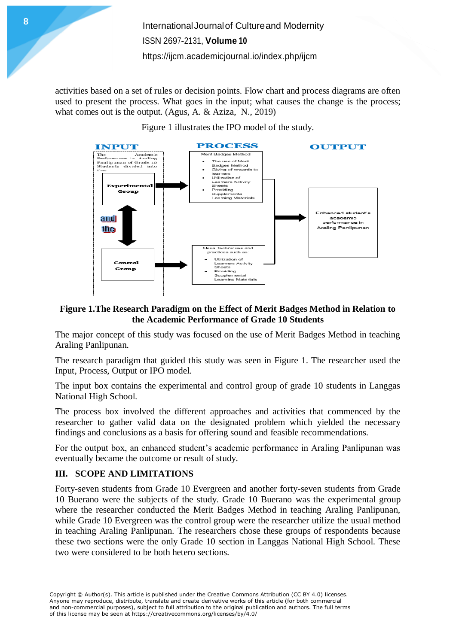InternationalJournalof Cultureand Modernity ISSN 2697-2131, **Volume 10** <https://ijcm.academicjournal.io/index.php/ijcm>

activities based on a set of rules or decision points. Flow chart and process diagrams are often used to present the process. What goes in the input; what causes the change is the process; what comes out is the output. (Agus, A. & Aziza, N., 2019)





### **Figure 1.The Research Paradigm on the Effect of Merit Badges Method in Relation to the Academic Performance of Grade 10 Students**

The major concept of this study was focused on the use of Merit Badges Method in teaching Araling Panlipunan.

The research paradigm that guided this study was seen in Figure 1. The researcher used the Input, Process, Output or IPO model.

The input box contains the experimental and control group of grade 10 students in Langgas National High School.

The process box involved the different approaches and activities that commenced by the researcher to gather valid data on the designated problem which yielded the necessary findings and conclusions as a basis for offering sound and feasible recommendations.

For the output box, an enhanced student's academic performance in Araling Panlipunan was eventually became the outcome or result of study.

### **III. SCOPE AND LIMITATIONS**

Forty-seven students from Grade 10 Evergreen and another forty-seven students from Grade 10 Buerano were the subjects of the study. Grade 10 Buerano was the experimental group where the researcher conducted the Merit Badges Method in teaching Araling Panlipunan, while Grade 10 Evergreen was the control group were the researcher utilize the usual method in teaching Araling Panlipunan. The researchers chose these groups of respondents because these two sections were the only Grade 10 section in Langgas National High School. These two were considered to be both hetero sections.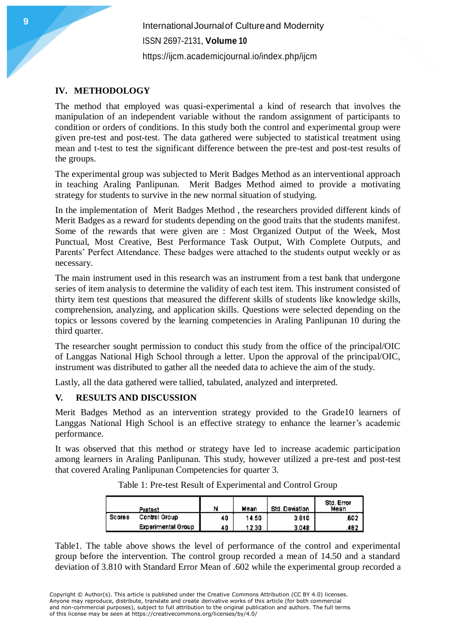InternationalJournalof Cultureand Modernity ISSN 2697-2131, **Volume 10** https://ijcm.academiciournal.io/index.php/ijcm

#### **IV. METHODOLOGY**

The method that employed was quasi-experimental a kind of research that involves the manipulation of an independent variable without the random assignment of participants to condition or orders of conditions. In this study both the control and experimental group were given pre-test and post-test. The data gathered were subjected to statistical treatment using mean and t-test to test the significant difference between the pre-test and post-test results of the groups.

The experimental group was subjected to Merit Badges Method as an interventional approach in teaching Araling Panlipunan. Merit Badges Method aimed to provide a motivating strategy for students to survive in the new normal situation of studying.

In the implementation of Merit Badges Method , the researchers provided different kinds of Merit Badges as a reward for students depending on the good traits that the students manifest. Some of the rewards that were given are : Most Organized Output of the Week, Most Punctual, Most Creative, Best Performance Task Output, With Complete Outputs, and Parents' Perfect Attendance. These badges were attached to the students output weekly or as necessary.

The main instrument used in this research was an instrument from a test bank that undergone series of item analysis to determine the validity of each test item. This instrument consisted of thirty item test questions that measured the different skills of students like knowledge skills, comprehension, analyzing, and application skills. Questions were selected depending on the topics or lessons covered by the learning competencies in Araling Panlipunan 10 during the third quarter.

The researcher sought permission to conduct this study from the office of the principal/OIC of Langgas National High School through a letter. Upon the approval of the principal/OIC, instrument was distributed to gather all the needed data to achieve the aim of the study.

Lastly, all the data gathered were tallied, tabulated, analyzed and interpreted.

### **V. RESULTS AND DISCUSSION**

Merit Badges Method as an intervention strategy provided to the Grade10 learners of Langgas National High School is an effective strategy to enhance the learner's academic performance.

It was observed that this method or strategy have led to increase academic participation among learners in Araling Panlipunan. This study, however utilized a pre-test and post-test that covered Araling Panlipunan Competencies for quarter 3.

| Pretest       |                           | Ν  | Mean  | Std. Deviation | Std. Error<br>Mean |  |
|---------------|---------------------------|----|-------|----------------|--------------------|--|
| <b>Scores</b> | Control Group             | 40 | 14.50 | 3.810          | .602               |  |
|               | <b>Experimental Group</b> | 40 | 12.30 | 3.048          | 482                |  |

Table 1: Pre-test Result of Experimental and Control Group

Table1. The table above shows the level of performance of the control and experimental group before the intervention. The control group recorded a mean of 14.50 and a standard deviation of 3.810 with Standard Error Mean of .602 while the experimental group recorded a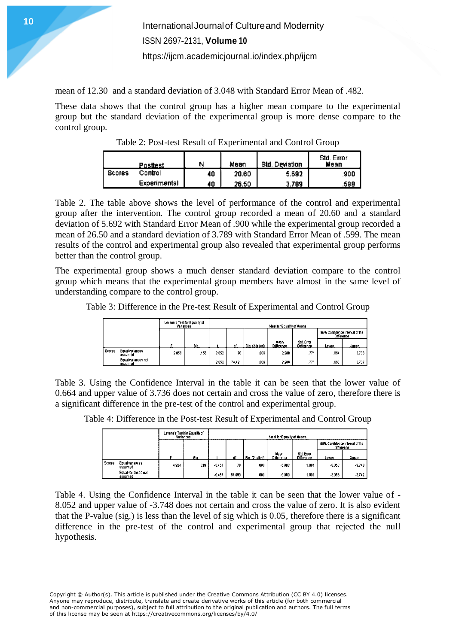mean of 12.30 and a standard deviation of 3.048 with Standard Error Mean of .482.

These data shows that the control group has a higher mean compare to the experimental group but the standard deviation of the experimental group is more dense compare to the control group.

| Posttest      |              | N  | Mean  | Std. Deviation | Std. Error<br>Mean |  |
|---------------|--------------|----|-------|----------------|--------------------|--|
| <b>Scores</b> | Control      | 40 | 20.60 | 5.692          | 900.               |  |
|               | Experimental | 40 | 26.50 | 3.789          | .599               |  |

Table 2: Post-test Result of Experimental and Control Group

Table 2. The table above shows the level of performance of the control and experimental group after the intervention. The control group recorded a mean of 20.60 and a standard deviation of 5.692 with Standard Error Mean of .900 while the experimental group recorded a mean of 26.50 and a standard deviation of 3.789 with Standard Error Mean of .599. The mean results of the control and experimental group also revealed that experimental group performs better than the control group.

The experimental group shows a much denser standard deviation compare to the control group which means that the experimental group members have almost in the same level of understanding compare to the control group.

Table 3: Difference in the Pre-test Result of Experimental and Control Group

|        |                                | Levene's Test for Equality of<br>Variances | t-fest for Equality of Means |       |        |                 |                    |                          |                                              |       |
|--------|--------------------------------|--------------------------------------------|------------------------------|-------|--------|-----------------|--------------------|--------------------------|----------------------------------------------|-------|
|        |                                |                                            |                              |       |        |                 |                    |                          | 95% Confidence Interval of the<br>Difference |       |
|        |                                |                                            | <b>Sig.</b>                  |       |        | Sig. (2-tailed) | Mean<br>Difference | Std. Error<br>Difference | Lower.                                       | Upper |
| Scores | Equal variances<br>assumed     | 2.056                                      | 156                          | 2.052 | 78     | .006            | 2.200              | 771                      | 664                                          | 3.736 |
|        | Equal variances not<br>assumed |                                            |                              | 2.652 | 74.421 | .006            | 2.200              | J7'                      | .663                                         | 3.737 |

Table 3. Using the Confidence Interval in the table it can be seen that the lower value of 0.664 and upper value of 3.736 does not certain and cross the value of zero, therefore there is a significant difference in the pre-test of the control and experimental group.

Table 4: Difference in the Post-test Result of Experimental and Control Group

|               |                                | Levene's Test for Equality of<br>Variances | t-test for Equality of Means |          |        |                 |                    |                         |                                              |          |
|---------------|--------------------------------|--------------------------------------------|------------------------------|----------|--------|-----------------|--------------------|-------------------------|----------------------------------------------|----------|
|               |                                |                                            |                              |          |        |                 |                    |                         | 95% Confidence interval of the<br>Difference |          |
|               |                                |                                            | Slo.                         |          | ď۴     | Sig. (2-tailed) | Mean<br>Difference | Std. Error<br>Ofference | Lower                                        | Upper    |
| <b>Scores</b> | Equal variances<br>assumed     | 4.924                                      | .029                         | $-5.457$ | 78     | .000            | $-5.900$           | 1 081                   | $-8.052$                                     | $-3.748$ |
|               | Equal variances not<br>assumed |                                            |                              | $-5.457$ | 67.893 | .000            | $-5.900$           | 1.091                   | $-8.058$                                     | $-3.742$ |

Table 4. Using the Confidence Interval in the table it can be seen that the lower value of - 8.052 and upper value of -3.748 does not certain and cross the value of zero. It is also evident that the P-value (sig.) is less than the level of sig which is 0.05, therefore there is a significant difference in the pre-test of the control and experimental group that rejected the null hypothesis.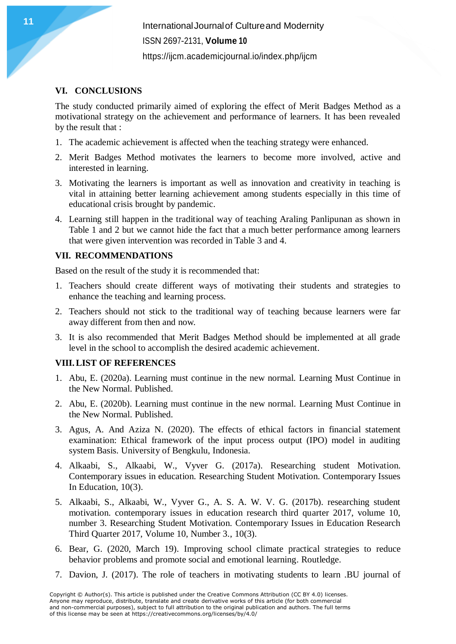**11** International Journal of Cultureand Modernity ISSN 2697-2131, **Volume 10** <https://ijcm.academicjournal.io/index.php/ijcm>

### **VI. CONCLUSIONS**

The study conducted primarily aimed of exploring the effect of Merit Badges Method as a motivational strategy on the achievement and performance of learners. It has been revealed by the result that :

- 1. The academic achievement is affected when the teaching strategy were enhanced.
- 2. Merit Badges Method motivates the learners to become more involved, active and interested in learning.
- 3. Motivating the learners is important as well as innovation and creativity in teaching is vital in attaining better learning achievement among students especially in this time of educational crisis brought by pandemic.
- 4. Learning still happen in the traditional way of teaching Araling Panlipunan as shown in Table 1 and 2 but we cannot hide the fact that a much better performance among learners that were given intervention was recorded in Table 3 and 4.

#### **VII. RECOMMENDATIONS**

Based on the result of the study it is recommended that:

- 1. Teachers should create different ways of motivating their students and strategies to enhance the teaching and learning process.
- 2. Teachers should not stick to the traditional way of teaching because learners were far away different from then and now.
- 3. It is also recommended that Merit Badges Method should be implemented at all grade level in the school to accomplish the desired academic achievement.

#### **VIII.LIST OF REFERENCES**

- 1. Abu, E. (2020a). Learning must continue in the new normal. Learning Must Continue in the New Normal. Published.
- 2. Abu, E. (2020b). Learning must continue in the new normal. Learning Must Continue in the New Normal. Published.
- 3. Agus, A. And Aziza N. (2020). The effects of ethical factors in financial statement examination: Ethical framework of the input process output (IPO) model in auditing system Basis. University of Bengkulu, Indonesia.
- 4. Alkaabi, S., Alkaabi, W., Vyver G. (2017a). Researching student Motivation. Contemporary issues in education. Researching Student Motivation. Contemporary Issues In Education, 10(3).
- 5. Alkaabi, S., Alkaabi, W., Vyver G., A. S. A. W. V. G. (2017b). researching student motivation. contemporary issues in education research third quarter 2017, volume 10, number 3. Researching Student Motivation. Contemporary Issues in Education Research Third Quarter 2017, Volume 10, Number 3., 10(3).
- 6. Bear, G. (2020, March 19). Improving school climate practical strategies to reduce behavior problems and promote social and emotional learning. Routledge.
- 7. Davion, J. (2017). The role of teachers in motivating students to learn .BU journal of